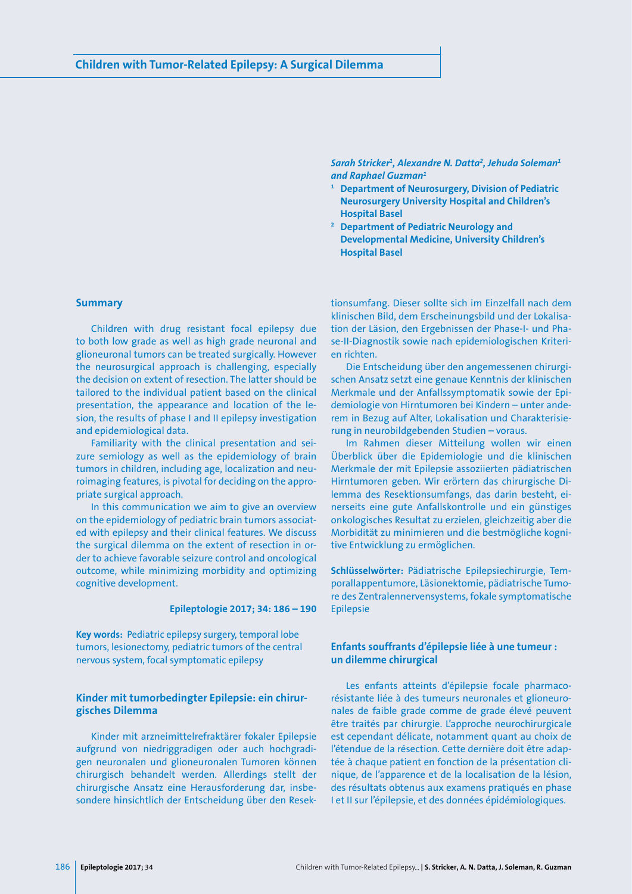*Sarah Stricker1 , Alexandre N. Datta2 , Jehuda Soleman1 and Raphael Guzman1*

- **<sup>1</sup> Department of Neurosurgery, Division of Pediatric Neurosurgery University Hospital and Children's Hospital Basel**
- **<sup>2</sup> Department of Pediatric Neurology and Developmental Medicine, University Children's Hospital Basel**

# **Summary**

Children with drug resistant focal epilepsy due to both low grade as well as high grade neuronal and glioneuronal tumors can be treated surgically. However the neurosurgical approach is challenging, especially the decision on extent of resection. The latter should be tailored to the individual patient based on the clinical presentation, the appearance and location of the lesion, the results of phase I and II epilepsy investigation and epidemiological data.

Familiarity with the clinical presentation and seizure semiology as well as the epidemiology of brain tumors in children, including age, localization and neuroimaging features, is pivotal for deciding on the appropriate surgical approach.

In this communication we aim to give an overview on the epidemiology of pediatric brain tumors associated with epilepsy and their clinical features. We discuss the surgical dilemma on the extent of resection in order to achieve favorable seizure control and oncological outcome, while minimizing morbidity and optimizing cognitive development.

## **Epileptologie 2017; 34: 186 – 190**

**Key words:** Pediatric epilepsy surgery, temporal lobe tumors, lesionectomy, pediatric tumors of the central nervous system, focal symptomatic epilepsy

## **Kinder mit tumorbedingter Epilepsie: ein chirurgisches Dilemma**

Kinder mit arzneimittelrefraktärer fokaler Epilepsie aufgrund von niedriggradigen oder auch hochgradigen neuronalen und glioneuronalen Tumoren können chirurgisch behandelt werden. Allerdings stellt der chirurgische Ansatz eine Herausforderung dar, insbesondere hinsichtlich der Entscheidung über den Resektionsumfang. Dieser sollte sich im Einzelfall nach dem klinischen Bild, dem Erscheinungsbild und der Lokalisation der Läsion, den Ergebnissen der Phase-I- und Phase-II-Diagnostik sowie nach epidemiologischen Kriterien richten.

Die Entscheidung über den angemessenen chirurgischen Ansatz setzt eine genaue Kenntnis der klinischen Merkmale und der Anfallssymptomatik sowie der Epidemiologie von Hirntumoren bei Kindern – unter anderem in Bezug auf Alter, Lokalisation und Charakterisierung in neurobildgebenden Studien – voraus.

Im Rahmen dieser Mitteilung wollen wir einen Überblick über die Epidemiologie und die klinischen Merkmale der mit Epilepsie assoziierten pädiatrischen Hirntumoren geben. Wir erörtern das chirurgische Dilemma des Resektionsumfangs, das darin besteht, einerseits eine gute Anfallskontrolle und ein günstiges onkologisches Resultat zu erzielen, gleichzeitig aber die Morbidität zu minimieren und die bestmögliche kognitive Entwicklung zu ermöglichen.

**Schlüsselwörter:** Pädiatrische Epilepsiechirurgie, Temporallappentumore, Läsionektomie, pädiatrische Tumore des Zentralennervensystems, fokale symptomatische Epilepsie

# **Enfants souffrants d'épilepsie liée à une tumeur : un dilemme chirurgical**

Les enfants atteints d'épilepsie focale pharmacorésistante liée à des tumeurs neuronales et glioneuronales de faible grade comme de grade élevé peuvent être traités par chirurgie. L'approche neurochirurgicale est cependant délicate, notamment quant au choix de l'étendue de la résection. Cette dernière doit être adaptée à chaque patient en fonction de la présentation clinique, de l'apparence et de la localisation de la lésion, des résultats obtenus aux examens pratiqués en phase I et II sur l'épilepsie, et des données épidémiologiques.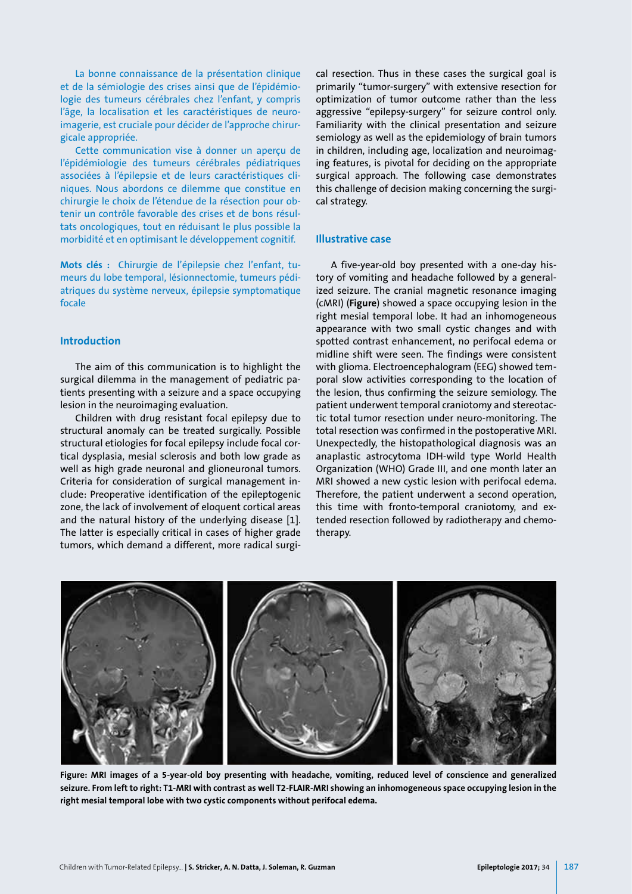La bonne connaissance de la présentation clinique et de la sémiologie des crises ainsi que de l'épidémiologie des tumeurs cérébrales chez l'enfant, y compris l'âge, la localisation et les caractéristiques de neuroimagerie, est cruciale pour décider de l'approche chirurgicale appropriée.

Cette communication vise à donner un aperçu de l'épidémiologie des tumeurs cérébrales pédiatriques associées à l'épilepsie et de leurs caractéristiques cliniques. Nous abordons ce dilemme que constitue en chirurgie le choix de l'étendue de la résection pour obtenir un contrôle favorable des crises et de bons résultats oncologiques, tout en réduisant le plus possible la morbidité et en optimisant le développement cognitif.

**Mots clés :** Chirurgie de l'épilepsie chez l'enfant, tumeurs du lobe temporal, lésionnectomie, tumeurs pédiatriques du système nerveux, épilepsie symptomatique focale

## **Introduction**

The aim of this communication is to highlight the surgical dilemma in the management of pediatric patients presenting with a seizure and a space occupying lesion in the neuroimaging evaluation.

Children with drug resistant focal epilepsy due to structural anomaly can be treated surgically. Possible structural etiologies for focal epilepsy include focal cortical dysplasia, mesial sclerosis and both low grade as well as high grade neuronal and glioneuronal tumors. Criteria for consideration of surgical management include: Preoperative identification of the epileptogenic zone, the lack of involvement of eloquent cortical areas and the natural history of the underlying disease [1]. The latter is especially critical in cases of higher grade tumors, which demand a different, more radical surgical resection. Thus in these cases the surgical goal is primarily "tumor-surgery" with extensive resection for optimization of tumor outcome rather than the less aggressive "epilepsy-surgery" for seizure control only. Familiarity with the clinical presentation and seizure semiology as well as the epidemiology of brain tumors in children, including age, localization and neuroimaging features, is pivotal for deciding on the appropriate surgical approach. The following case demonstrates this challenge of decision making concerning the surgical strategy.

# **Illustrative case**

A five-year-old boy presented with a one-day history of vomiting and headache followed by a generalized seizure. The cranial magnetic resonance imaging (cMRI) (**Figure**) showed a space occupying lesion in the right mesial temporal lobe. It had an inhomogeneous appearance with two small cystic changes and with spotted contrast enhancement, no perifocal edema or midline shift were seen. The findings were consistent with glioma. Electroencephalogram (EEG) showed temporal slow activities corresponding to the location of the lesion, thus confirming the seizure semiology. The patient underwent temporal craniotomy and stereotactic total tumor resection under neuro-monitoring. The total resection was confirmed in the postoperative MRI. Unexpectedly, the histopathological diagnosis was an anaplastic astrocytoma IDH-wild type World Health Organization (WHO) Grade III, and one month later an MRI showed a new cystic lesion with perifocal edema. Therefore, the patient underwent a second operation, this time with fronto-temporal craniotomy, and extended resection followed by radiotherapy and chemotherapy.



**Figure: MRI images of a 5-year-old boy presenting with headache, vomiting, reduced level of conscience and generalized seizure. From left to right: T1-MRI with contrast as well T2-FLAIR-MRI showing an inhomogeneous space occupying lesion in the right mesial temporal lobe with two cystic components without perifocal edema.**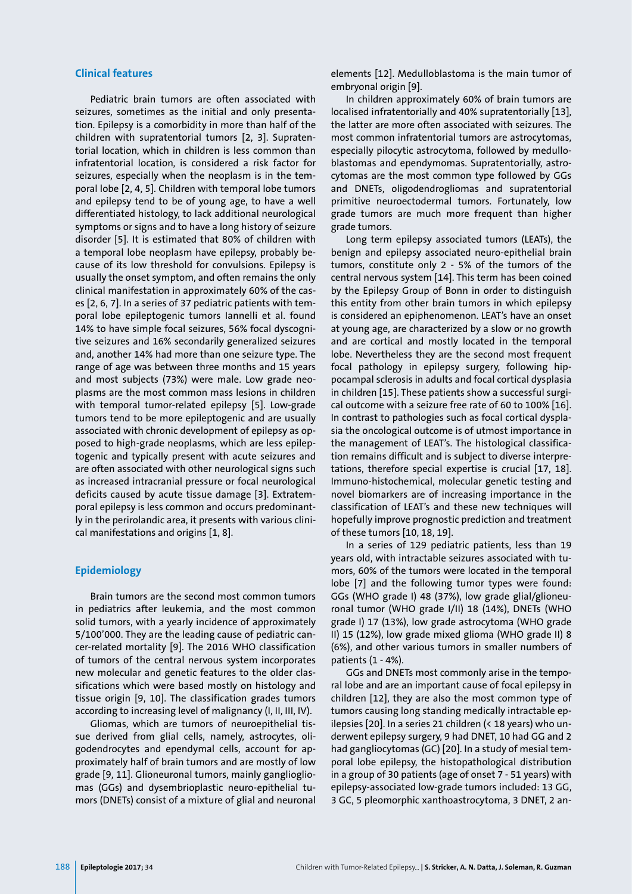### **Clinical features**

Pediatric brain tumors are often associated with seizures, sometimes as the initial and only presentation. Epilepsy is a comorbidity in more than half of the children with supratentorial tumors [2, 3]. Supratentorial location, which in children is less common than infratentorial location, is considered a risk factor for seizures, especially when the neoplasm is in the temporal lobe [2, 4, 5]. Children with temporal lobe tumors and epilepsy tend to be of young age, to have a well differentiated histology, to lack additional neurological symptoms or signs and to have a long history of seizure disorder [5]. It is estimated that 80% of children with a temporal lobe neoplasm have epilepsy, probably because of its low threshold for convulsions. Epilepsy is usually the onset symptom, and often remains the only clinical manifestation in approximately 60% of the cases [2, 6, 7]. In a series of 37 pediatric patients with temporal lobe epileptogenic tumors Iannelli et al. found 14% to have simple focal seizures, 56% focal dyscognitive seizures and 16% secondarily generalized seizures and, another 14% had more than one seizure type. The range of age was between three months and 15 years and most subjects (73%) were male. Low grade neoplasms are the most common mass lesions in children with temporal tumor-related epilepsy [5]. Low-grade tumors tend to be more epileptogenic and are usually associated with chronic development of epilepsy as opposed to high-grade neoplasms, which are less epileptogenic and typically present with acute seizures and are often associated with other neurological signs such as increased intracranial pressure or focal neurological deficits caused by acute tissue damage [3]. Extratemporal epilepsy is less common and occurs predominantly in the perirolandic area, it presents with various clinical manifestations and origins [1, 8].

### **Epidemiology**

Brain tumors are the second most common tumors in pediatrics after leukemia, and the most common solid tumors, with a yearly incidence of approximately 5/100'000. They are the leading cause of pediatric cancer-related mortality [9]. The 2016 WHO classification of tumors of the central nervous system incorporates new molecular and genetic features to the older classifications which were based mostly on histology and tissue origin [9, 10]. The classification grades tumors according to increasing level of malignancy (I, II, III, IV).

Gliomas, which are tumors of neuroepithelial tissue derived from glial cells, namely, astrocytes, oligodendrocytes and ependymal cells, account for approximately half of brain tumors and are mostly of low grade [9, 11]. Glioneuronal tumors, mainly gangliogliomas (GGs) and dysembrioplastic neuro-epithelial tumors (DNETs) consist of a mixture of glial and neuronal elements [12]. Medulloblastoma is the main tumor of embryonal origin [9].

In children approximately 60% of brain tumors are localised infratentorially and 40% supratentorially [13], the latter are more often associated with seizures. The most common infratentorial tumors are astrocytomas, especially pilocytic astrocytoma, followed by medulloblastomas and ependymomas. Supratentorially, astrocytomas are the most common type followed by GGs and DNETs, oligodendrogliomas and supratentorial primitive neuroectodermal tumors. Fortunately, low grade tumors are much more frequent than higher grade tumors.

Long term epilepsy associated tumors (LEATs), the benign and epilepsy associated neuro-epithelial brain tumors, constitute only 2 - 5% of the tumors of the central nervous system [14]. This term has been coined by the Epilepsy Group of Bonn in order to distinguish this entity from other brain tumors in which epilepsy is considered an epiphenomenon. LEAT's have an onset at young age, are characterized by a slow or no growth and are cortical and mostly located in the temporal lobe. Nevertheless they are the second most frequent focal pathology in epilepsy surgery, following hippocampal sclerosis in adults and focal cortical dysplasia in children [15]. These patients show a successful surgical outcome with a seizure free rate of 60 to 100% [16]. In contrast to pathologies such as focal cortical dysplasia the oncological outcome is of utmost importance in the management of LEAT's. The histological classification remains difficult and is subject to diverse interpretations, therefore special expertise is crucial [17, 18]. Immuno-histochemical, molecular genetic testing and novel biomarkers are of increasing importance in the classification of LEAT's and these new techniques will hopefully improve prognostic prediction and treatment of these tumors [10, 18, 19].

In a series of 129 pediatric patients, less than 19 years old, with intractable seizures associated with tumors, 60% of the tumors were located in the temporal lobe [7] and the following tumor types were found: GGs (WHO grade I) 48 (37%), low grade glial/glioneuronal tumor (WHO grade I/II) 18 (14%), DNETs (WHO grade I) 17 (13%), low grade astrocytoma (WHO grade II) 15 (12%), low grade mixed glioma (WHO grade II) 8 (6%), and other various tumors in smaller numbers of patients (1 - 4%).

GGs and DNETs most commonly arise in the temporal lobe and are an important cause of focal epilepsy in children [12], they are also the most common type of tumors causing long standing medically intractable epilepsies [20]. In a series 21 children (< 18 years) who underwent epilepsy surgery, 9 had DNET, 10 had GG and 2 had gangliocytomas (GC) [20]. In a study of mesial temporal lobe epilepsy, the histopathological distribution in a group of 30 patients (age of onset 7 - 51 years) with epilepsy-associated low-grade tumors included: 13 GG, 3 GC, 5 pleomorphic xanthoastrocytoma, 3 DNET, 2 an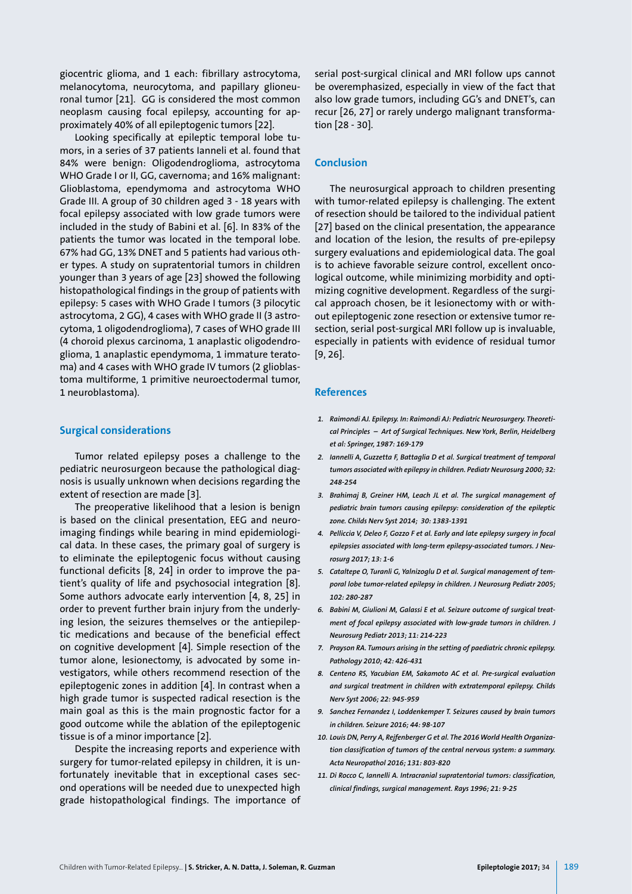giocentric glioma, and 1 each: fibrillary astrocytoma, melanocytoma, neurocytoma, and papillary glioneuronal tumor [21]. GG is considered the most common neoplasm causing focal epilepsy, accounting for approximately 40% of all epileptogenic tumors [22].

Looking specifically at epileptic temporal lobe tumors, in a series of 37 patients Ianneli et al. found that 84% were benign: Oligodendroglioma, astrocytoma WHO Grade I or II, GG, cavernoma; and 16% malignant: Glioblastoma, ependymoma and astrocytoma WHO Grade III. A group of 30 children aged 3 - 18 years with focal epilepsy associated with low grade tumors were included in the study of Babini et al. [6]. In 83% of the patients the tumor was located in the temporal lobe. 67% had GG, 13% DNET and 5 patients had various other types. A study on supratentorial tumors in children younger than 3 years of age [23] showed the following histopathological findings in the group of patients with epilepsy: 5 cases with WHO Grade I tumors (3 pilocytic astrocytoma, 2 GG), 4 cases with WHO grade II (3 astrocytoma, 1 oligodendroglioma), 7 cases of WHO grade III (4 choroid plexus carcinoma, 1 anaplastic oligodendroglioma, 1 anaplastic ependymoma, 1 immature teratoma) and 4 cases with WHO grade IV tumors (2 glioblastoma multiforme, 1 primitive neuroectodermal tumor, 1 neuroblastoma).

### **Surgical considerations**

Tumor related epilepsy poses a challenge to the pediatric neurosurgeon because the pathological diagnosis is usually unknown when decisions regarding the extent of resection are made [3].

The preoperative likelihood that a lesion is benign is based on the clinical presentation, EEG and neuroimaging findings while bearing in mind epidemiological data. In these cases, the primary goal of surgery is to eliminate the epileptogenic focus without causing functional deficits [8, 24] in order to improve the patient's quality of life and psychosocial integration [8]. Some authors advocate early intervention [4, 8, 25] in order to prevent further brain injury from the underlying lesion, the seizures themselves or the antiepileptic medications and because of the beneficial effect on cognitive development [4]. Simple resection of the tumor alone, lesionectomy, is advocated by some investigators, while others recommend resection of the epileptogenic zones in addition [4]. In contrast when a high grade tumor is suspected radical resection is the main goal as this is the main prognostic factor for a good outcome while the ablation of the epileptogenic tissue is of a minor importance [2].

Despite the increasing reports and experience with surgery for tumor-related epilepsy in children, it is unfortunately inevitable that in exceptional cases second operations will be needed due to unexpected high grade histopathological findings. The importance of

serial post-surgical clinical and MRI follow ups cannot be overemphasized, especially in view of the fact that also low grade tumors, including GG's and DNET's, can recur [26, 27] or rarely undergo malignant transformation [28 - 30].

### **Conclusion**

The neurosurgical approach to children presenting with tumor-related epilepsy is challenging. The extent of resection should be tailored to the individual patient [27] based on the clinical presentation, the appearance and location of the lesion, the results of pre-epilepsy surgery evaluations and epidemiological data. The goal is to achieve favorable seizure control, excellent oncological outcome, while minimizing morbidity and optimizing cognitive development. Regardless of the surgical approach chosen, be it lesionectomy with or without epileptogenic zone resection or extensive tumor resection, serial post-surgical MRI follow up is invaluable, especially in patients with evidence of residual tumor [9, 26].

### **References**

- *1. Raimondi AJ. Epilepsy. In: Raimondi AJ: Pediatric Neurosurgery. Theoretical Principles – Art of Surgical Techniques. New York, Berlin, Heidelberg et al: Springer, 1987: 169-179*
- *2. Iannelli A, Guzzetta F, Battaglia D et al. Surgical treatment of temporal tumors associated with epilepsy in children. Pediatr Neurosurg 2000; 32: 248-254*
- *3. Brahimaj B, Greiner HM, Leach JL et al. The surgical management of pediatric brain tumors causing epilepsy: consideration of the epileptic zone. Childs Nerv Syst 2014; 30: 1383-1391*
- *4. Pelliccia V, Deleo F, Gozzo F et al. Early and late epilepsy surgery in focal epilepsies associated with long-term epilepsy-associated tumors. J Neurosurg 2017; 13: 1-6*
- *5. Cataltepe O, Turanli G, Yalnizoglu D et al. Surgical management of temporal lobe tumor-related epilepsy in children. J Neurosurg Pediatr 2005; 102: 280-287*
- *6. Babini M, Giulioni M, Galassi E et al. Seizure outcome of surgical treatment of focal epilepsy associated with low-grade tumors in children. J Neurosurg Pediatr 2013; 11: 214-223*
- *7. Prayson RA. Tumours arising in the setting of paediatric chronic epilepsy. Pathology 2010; 42: 426-431*
- *8. Centeno RS, Yacubian EM, Sakamoto AC et al. Pre-surgical evaluation and surgical treatment in children with extratemporal epilepsy. Childs Nerv Syst 2006; 22: 945-959*
- *9. Sanchez Fernandez I, Loddenkemper T. Seizures caused by brain tumors in children. Seizure 2016; 44: 98-107*
- *10. Louis DN, Perry A, Rejfenberger G et al. The 2016 World Health Organization classification of tumors of the central nervous system: a summary. Acta Neuropathol 2016; 131: 803-820*
- *11. Di Rocco C, Iannelli A. Intracranial supratentorial tumors: classification, clinical findings, surgical management. Rays 1996; 21: 9-25*